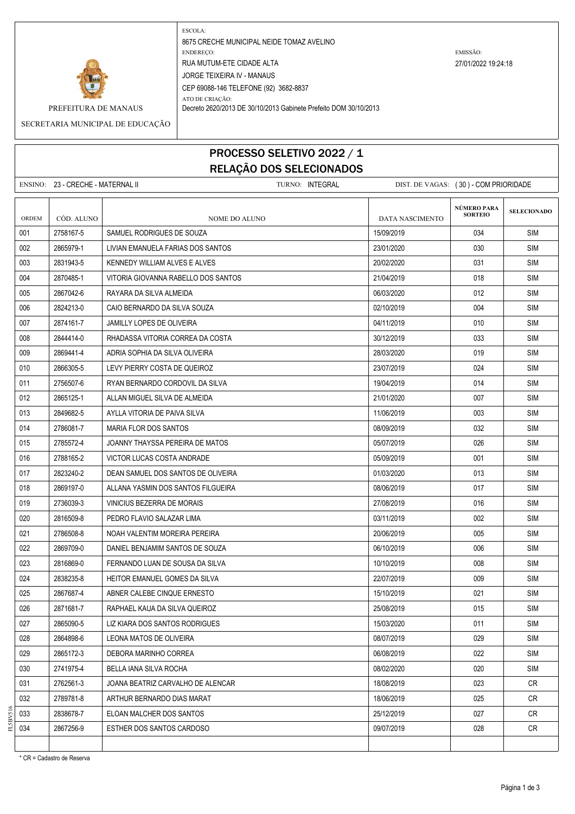

ESCOLA: 8675 CRECHE MUNICIPAL NEIDE TOMAZ AVELINO ENDEREÇO: EMISSÃO: RUA MUTUM-ETE CIDADE ALTA 27/01/2022 19:24:18 JORGE TEIXEIRA IV - MANAUS CEP 69088-146 TELEFONE (92) 3682-8837

ATO DE CRIAÇÃO:

PREFEITURA DE MANAUS Decreto 2620/2013 DE 30/10/2013 Gabinete Prefeito DOM 30/10/2013

SECRETARIA MUNICIPAL DE EDUCAÇÃO

## PROCESSO SELETIVO 2022 / 1 RELAÇÃO DOS SELECIONADOS

|              | ENSINO: 23 - CRECHE - MATERNAL II |                                     | TURNO: INTEGRAL |                 | DIST. DE VAGAS: (30) - COM PRIORIDADE |                    |
|--------------|-----------------------------------|-------------------------------------|-----------------|-----------------|---------------------------------------|--------------------|
| <b>ORDEM</b> | CÓD. ALUNO                        | <b>NOME DO ALUNO</b>                |                 | DATA NASCIMENTO | NÚMERO PARA<br><b>SORTEIO</b>         | <b>SELECIONADO</b> |
| 001          | 2758167-5                         | SAMUEL RODRIGUES DE SOUZA           |                 | 15/09/2019      | 034                                   | <b>SIM</b>         |
| 002          | 2865979-1                         | LIVIAN EMANUELA FARIAS DOS SANTOS   |                 | 23/01/2020      | 030                                   | <b>SIM</b>         |
| 003          | 2831943-5                         | KENNEDY WILLIAM ALVES E ALVES       |                 | 20/02/2020      | 031                                   | <b>SIM</b>         |
| 004          | 2870485-1                         | VITORIA GIOVANNA RABELLO DOS SANTOS |                 | 21/04/2019      | 018                                   | <b>SIM</b>         |
| 005          | 2867042-6                         | RAYARA DA SILVA ALMEIDA             |                 | 06/03/2020      | 012                                   | SIM                |
| 006          | 2824213-0                         | CAIO BERNARDO DA SILVA SOUZA        |                 | 02/10/2019      | 004                                   | <b>SIM</b>         |
| 007          | 2874161-7                         | <b>JAMILLY LOPES DE OLIVEIRA</b>    |                 | 04/11/2019      | 010                                   | SIM                |
| 008          | 2844414-0                         | RHADASSA VITORIA CORREA DA COSTA    |                 | 30/12/2019      | 033                                   | <b>SIM</b>         |
| 009          | 2869441-4                         | ADRIA SOPHIA DA SILVA OLIVEIRA      |                 | 28/03/2020      | 019                                   | <b>SIM</b>         |
| 010          | 2866305-5                         | LEVY PIERRY COSTA DE QUEIROZ        |                 | 23/07/2019      | 024                                   | <b>SIM</b>         |
| 011          | 2756507-6                         | RYAN BERNARDO CORDOVIL DA SILVA     |                 | 19/04/2019      | 014                                   | SIM                |
| 012          | 2865125-1                         | ALLAN MIGUEL SILVA DE ALMEIDA       |                 | 21/01/2020      | 007                                   | SIM                |
| 013          | 2849682-5                         | AYLLA VITORIA DE PAIVA SILVA        |                 | 11/06/2019      | 003                                   | <b>SIM</b>         |
| 014          | 2786081-7                         | MARIA FLOR DOS SANTOS               |                 | 08/09/2019      | 032                                   | <b>SIM</b>         |
| 015          | 2785572-4                         | JOANNY THAYSSA PEREIRA DE MATOS     |                 | 05/07/2019      | 026                                   | <b>SIM</b>         |
| 016          | 2788165-2                         | VICTOR LUCAS COSTA ANDRADE          |                 | 05/09/2019      | 001                                   | <b>SIM</b>         |
| 017          | 2823240-2                         | DEAN SAMUEL DOS SANTOS DE OLIVEIRA  |                 | 01/03/2020      | 013                                   | <b>SIM</b>         |
| 018          | 2869197-0                         | ALLANA YASMIN DOS SANTOS FILGUEIRA  |                 | 08/06/2019      | 017                                   | SIM                |
| 019          | 2736039-3                         | VINICIUS BEZERRA DE MORAIS          |                 | 27/08/2019      | 016                                   | <b>SIM</b>         |
| 020          | 2816509-8                         | PEDRO FLAVIO SALAZAR LIMA           |                 | 03/11/2019      | 002                                   | <b>SIM</b>         |
| 021          | 2786508-8                         | NOAH VALENTIM MOREIRA PEREIRA       |                 | 20/06/2019      | 005                                   | <b>SIM</b>         |
| 022          | 2869709-0                         | DANIEL BENJAMIM SANTOS DE SOUZA     |                 | 06/10/2019      | 006                                   | SIM                |
| 023          | 2816869-0                         | FERNANDO LUAN DE SOUSA DA SILVA     |                 | 10/10/2019      | 008                                   | SIM                |
| 024          | 2838235-8                         | HEITOR EMANUEL GOMES DA SILVA       |                 | 22/07/2019      | 009                                   | <b>SIM</b>         |
| 025          | 2867687-4                         | ABNER CALEBE CINQUE ERNESTO         |                 | 15/10/2019      | 021                                   | <b>SIM</b>         |
| 026          | 2871681-7                         | RAPHAEL KAUA DA SILVA QUEIROZ       |                 | 25/08/2019      | 015                                   | SIM                |
| 027          | 2865090-5                         | LIZ KIARA DOS SANTOS RODRIGUES      |                 | 15/03/2020      | 011                                   | SIM                |
| 028          | 2864898-6                         | LEONA MATOS DE OLIVEIRA             |                 | 08/07/2019      | 029                                   | <b>SIM</b>         |
| 029          | 2865172-3                         | DEBORA MARINHO CORREA               |                 | 06/08/2019      | 022                                   | SIM                |
| 030          | 2741975-4                         | BELLA JANA SILVA ROCHA              |                 | 08/02/2020      | 020                                   | <b>SIM</b>         |
| 031          | 2762561-3                         | JOANA BEATRIZ CARVALHO DE ALENCAR   |                 | 18/08/2019      | 023                                   | CR                 |
| 032          | 2789781-8                         | ARTHUR BERNARDO DIAS MARAT          |                 | 18/06/2019      | 025                                   | <b>CR</b>          |
| 033          | 2838678-7                         | ELOAN MALCHER DOS SANTOS            |                 | 25/12/2019      | 027                                   | CR                 |
| 034          | 2867256-9                         | ESTHER DOS SANTOS CARDOSO           |                 | 09/07/2019      | 028                                   | CR                 |
|              |                                   |                                     |                 |                 |                                       |                    |

\* CR = Cadastro de Reserva

FL5BV516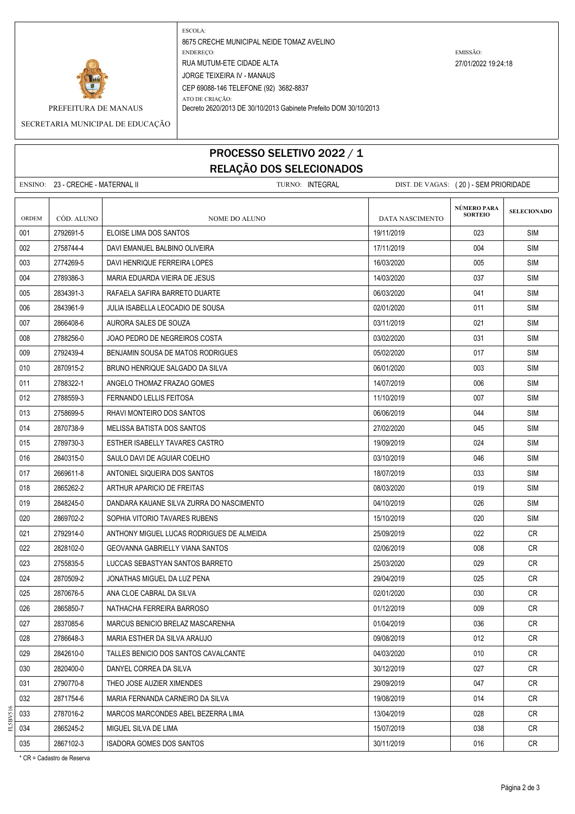

ESCOLA: 8675 CRECHE MUNICIPAL NEIDE TOMAZ AVELINO ENDEREÇO: EMISSÃO: RUA MUTUM-ETE CIDADE ALTA 27/01/2022 19:24:18 JORGE TEIXEIRA IV - MANAUS CEP 69088-146 TELEFONE (92) 3682-8837 ATO DE CRIAÇÃO:

PREFEITURA DE MANAUS Decreto 2620/2013 DE 30/10/2013 Gabinete Prefeito DOM 30/10/2013

SECRETARIA MUNICIPAL DE EDUCAÇÃO

## PROCESSO SELETIVO 2022 / 1 RELAÇÃO DOS SELECIONADOS

|              | ENSINO: 23 - CRECHE - MATERNAL II |                                           | TURNO: INTEGRAL |                        | DIST. DE VAGAS: (20) - SEM PRIORIDADE |                    |
|--------------|-----------------------------------|-------------------------------------------|-----------------|------------------------|---------------------------------------|--------------------|
| <b>ORDEM</b> | CÓD. ALUNO                        | NOME DO ALUNO                             |                 | <b>DATA NASCIMENTO</b> | NÚMERO PARA<br><b>SORTEIO</b>         | <b>SELECIONADO</b> |
| 001          | 2792691-5                         | ELOISE LIMA DOS SANTOS                    |                 | 19/11/2019             | 023                                   | <b>SIM</b>         |
| 002          | 2758744-4                         | DAVI EMANUEL BALBINO OLIVEIRA             |                 | 17/11/2019             | 004                                   | SIM                |
| 003          | 2774269-5                         | DAVI HENRIQUE FERREIRA LOPES              |                 | 16/03/2020             | 005                                   | <b>SIM</b>         |
| 004          | 2789386-3                         | MARIA EDUARDA VIEIRA DE JESUS             |                 | 14/03/2020             | 037                                   | <b>SIM</b>         |
| 005          | 2834391-3                         | RAFAELA SAFIRA BARRETO DUARTE             |                 | 06/03/2020             | 041                                   | SIM                |
| 006          | 2843961-9                         | JULIA ISABELLA LEOCADIO DE SOUSA          |                 | 02/01/2020             | 011                                   | SIM                |
| 007          | 2866408-6                         | AURORA SALES DE SOUZA                     |                 | 03/11/2019             | 021                                   | SIM                |
| 008          | 2788256-0                         | JOAO PEDRO DE NEGREIROS COSTA             |                 | 03/02/2020             | 031                                   | SIM                |
| 009          | 2792439-4                         | BENJAMIN SOUSA DE MATOS RODRIGUES         |                 | 05/02/2020             | 017                                   | <b>SIM</b>         |
| 010          | 2870915-2                         | BRUNO HENRIQUE SALGADO DA SILVA           |                 | 06/01/2020             | 003                                   | <b>SIM</b>         |
| 011          | 2788322-1                         | ANGELO THOMAZ FRAZAO GOMES                |                 | 14/07/2019             | 006                                   | SIM                |
| 012          | 2788559-3                         | FERNANDO LELLIS FEITOSA                   |                 | 11/10/2019             | 007                                   | SIM                |
| 013          | 2758699-5                         | RHAVI MONTEIRO DOS SANTOS                 |                 | 06/06/2019             | 044                                   | <b>SIM</b>         |
| 014          | 2870738-9                         | MELISSA BATISTA DOS SANTOS                |                 | 27/02/2020             | 045                                   | <b>SIM</b>         |
| 015          | 2789730-3                         | ESTHER ISABELLY TAVARES CASTRO            |                 | 19/09/2019             | 024                                   | <b>SIM</b>         |
| 016          | 2840315-0                         | SAULO DAVI DE AGUIAR COELHO               |                 | 03/10/2019             | 046                                   | <b>SIM</b>         |
| 017          | 2669611-8                         | ANTONIEL SIQUEIRA DOS SANTOS              |                 | 18/07/2019             | 033                                   | <b>SIM</b>         |
| 018          | 2865262-2                         | ARTHUR APARICIO DE FREITAS                |                 | 08/03/2020             | 019                                   | SIM                |
| 019          | 2848245-0                         | DANDARA KAUANE SILVA ZURRA DO NASCIMENTO  |                 | 04/10/2019             | 026                                   | SIM                |
| 020          | 2869702-2                         | SOPHIA VITORIO TAVARES RUBENS             |                 | 15/10/2019             | 020                                   | <b>SIM</b>         |
| 021          | 2792914-0                         | ANTHONY MIGUEL LUCAS RODRIGUES DE ALMEIDA |                 | 25/09/2019             | 022                                   | CR.                |
| 022          | 2828102-0                         | <b>GEOVANNA GABRIELLY VIANA SANTOS</b>    |                 | 02/06/2019             | 008                                   | CR                 |
| 023          | 2755835-5                         | LUCCAS SEBASTYAN SANTOS BARRETO           |                 | 25/03/2020             | 029                                   | CR                 |
| 024          | 2870509-2                         | JONATHAS MIGUEL DA LUZ PENA               |                 | 29/04/2019             | 025                                   | <b>CR</b>          |
| 025          | 2870676-5                         | ANA CLOE CABRAL DA SILVA                  |                 | 02/01/2020             | 030                                   | CR.                |
| 026          | 2865850-7                         | NATHACHA FERREIRA BARROSO                 |                 | 01/12/2019             | 009                                   | <b>CR</b>          |
| 027          | 2837085-6                         | MARCUS BENICIO BRELAZ MASCARENHA          |                 | 01/04/2019             | 036                                   | CR                 |
| 028          | 2786648-3                         | MARIA ESTHER DA SILVA ARAUJO              |                 | 09/08/2019             | 012                                   | <b>CR</b>          |
| 029          | 2842610-0                         | TALLES BENICIO DOS SANTOS CAVALCANTE      |                 | 04/03/2020             | 010                                   | CR                 |
| 030          | 2820400-0                         | DANYEL CORREA DA SILVA                    |                 | 30/12/2019             | 027                                   | <b>CR</b>          |
| 031          | 2790770-8                         | THEO JOSE AUZIER XIMENDES                 |                 | 29/09/2019             | 047                                   | CR                 |
| 032          | 2871754-6                         | MARIA FERNANDA CARNEIRO DA SILVA          |                 | 19/08/2019             | 014                                   | <b>CR</b>          |
| 033          | 2787016-2                         | MARCOS MARCONDES ABEL BEZERRA LIMA        |                 | 13/04/2019             | 028                                   | CR                 |
| 034          | 2865245-2                         | MIGUEL SILVA DE LIMA                      |                 | 15/07/2019             | 038                                   | CR                 |
| 035          | 2867102-3                         | <b>ISADORA GOMES DOS SANTOS</b>           |                 | 30/11/2019             | 016                                   | CR                 |

\* CR = Cadastro de Reserva

FL5BV516